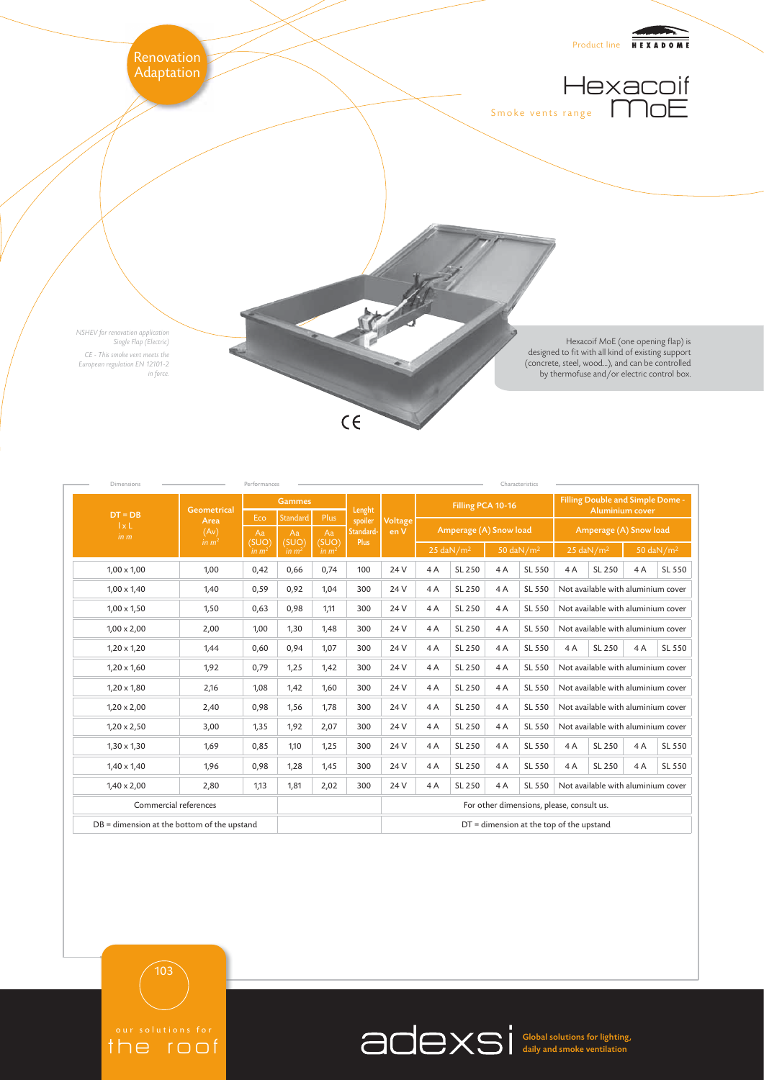

| <b>Dimensions</b>                             | Characteristics                                         |                            |                            |                            |                                           |                                            |                                                 |        |                                                 |        |                                                            |                                    |    |        |
|-----------------------------------------------|---------------------------------------------------------|----------------------------|----------------------------|----------------------------|-------------------------------------------|--------------------------------------------|-------------------------------------------------|--------|-------------------------------------------------|--------|------------------------------------------------------------|------------------------------------|----|--------|
| $DT = DB$<br>1xL<br>in m                      | <b>Geometrical</b><br>Area<br>(Av)<br>in m <sup>2</sup> | <b>Gammes</b>              |                            |                            | Lenght                                    |                                            | Filling PCA 10-16                               |        |                                                 |        | Filling Double and Simple Dome -<br><b>Aluminium cover</b> |                                    |    |        |
|                                               |                                                         | Eco                        | Standard                   | Plus                       | spoiler<br>Standard-<br>Plus              | Voltage<br>en V                            | Amperage (A) Snow load                          |        |                                                 |        | Amperage (A) Snow load                                     |                                    |    |        |
|                                               |                                                         | Aa                         | Aa                         | Aa                         |                                           |                                            |                                                 |        |                                                 |        |                                                            |                                    |    |        |
|                                               |                                                         | (SUO)<br>in m <sup>2</sup> | (SUO)<br>in m <sup>2</sup> | (SUO)<br>in m <sup>2</sup> |                                           |                                            | $50 \text{ day/m}^2$<br>$25$ daN/m <sup>2</sup> |        | $25$ daN/m <sup>2</sup><br>$50 \text{ day/m}^2$ |        |                                                            |                                    |    |        |
| $1,00 \times 1,00$                            | 1,00                                                    | 0,42                       | 0,66                       | 0,74                       | 100                                       | 24 V                                       | 4A                                              | SL 250 | 4A                                              | SL 550 | 4A                                                         | SL 250                             | 4A | SL 550 |
| $1,00 \times 1,40$                            | 1,40                                                    | 0,59                       | 0,92                       | 1,04                       | 300                                       | 24 V                                       | 4A                                              | SL 250 | 4A                                              | SL 550 |                                                            | Not available with aluminium cover |    |        |
| $1,00 \times 1,50$                            | 1,50                                                    | 0,63                       | 0,98                       | 1,11                       | 300                                       | 24 V                                       | 4A                                              | SL 250 | 4A                                              | SL 550 | Not available with aluminium cover                         |                                    |    |        |
| $1,00 \times 2,00$                            | 2,00                                                    | 1,00                       | 1,30                       | 1,48                       | 300                                       | 24 V                                       | 4A                                              | SL 250 | 4A                                              | SL 550 | Not available with aluminium cover                         |                                    |    |        |
| $1,20 \times 1,20$                            | 1,44                                                    | 0,60                       | 0,94                       | 1,07                       | 300                                       | 24 V                                       | 4A                                              | SL 250 | 4A                                              | SL 550 | 4A                                                         | SL 250                             | 4A | SL 550 |
| $1,20 \times 1,60$                            | 1,92                                                    | 0,79                       | 1,25                       | 1,42                       | 300                                       | 24 V                                       | 4A                                              | SL 250 | 4A                                              | SL 550 | Not available with aluminium cover                         |                                    |    |        |
| $1,20 \times 1,80$                            | 2,16                                                    | 1,08                       | 1,42                       | 1,60                       | 300                                       | 24 V                                       | 4A                                              | SL 250 | 4A                                              | SL 550 | Not available with aluminium cover                         |                                    |    |        |
| $1,20 \times 2,00$                            | 2,40                                                    | 0,98                       | 1,56                       | 1,78                       | 300                                       | 24 V                                       | 4A                                              | SL 250 | 4A                                              | SL 550 | Not available with aluminium cover                         |                                    |    |        |
| $1,20 \times 2,50$                            | 3,00                                                    | 1,35                       | 1,92                       | 2,07                       | 300                                       | 24 V                                       | 4A                                              | SL 250 | 4A                                              | SL 550 | Not available with aluminium cover                         |                                    |    |        |
| $1,30 \times 1,30$                            | 1,69                                                    | 0,85                       | 1,10                       | 1,25                       | 300                                       | 24 V                                       | 4A                                              | SL 250 | 4A                                              | SL 550 | 4A                                                         | SL 250                             | 4A | SL 550 |
| $1,40 \times 1,40$                            | 1,96                                                    | 0,98                       | 1,28                       | 1,45                       | 300                                       | 24 V                                       | 4A                                              | SL 250 | 4A                                              | SL 550 | 4A                                                         | SL 250                             | 4A | SL 550 |
| $1,40 \times 2,00$                            | 2,80                                                    | 1,13                       | 1,81                       | 2,02                       | 300                                       | 24 V                                       | 4A                                              | SL 250 | 4A                                              | SL 550 | Not available with aluminium cover                         |                                    |    |        |
| Commercial references                         |                                                         |                            |                            |                            | For other dimensions, please, consult us. |                                            |                                                 |        |                                                 |        |                                                            |                                    |    |        |
| $DB =$ dimension at the bottom of the upstand |                                                         |                            |                            |                            |                                           | $DT =$ dimension at the top of the upstand |                                                 |        |                                                 |        |                                                            |                                    |    |        |

the roof

Global solutions for lighting, daily and smoke ventilation